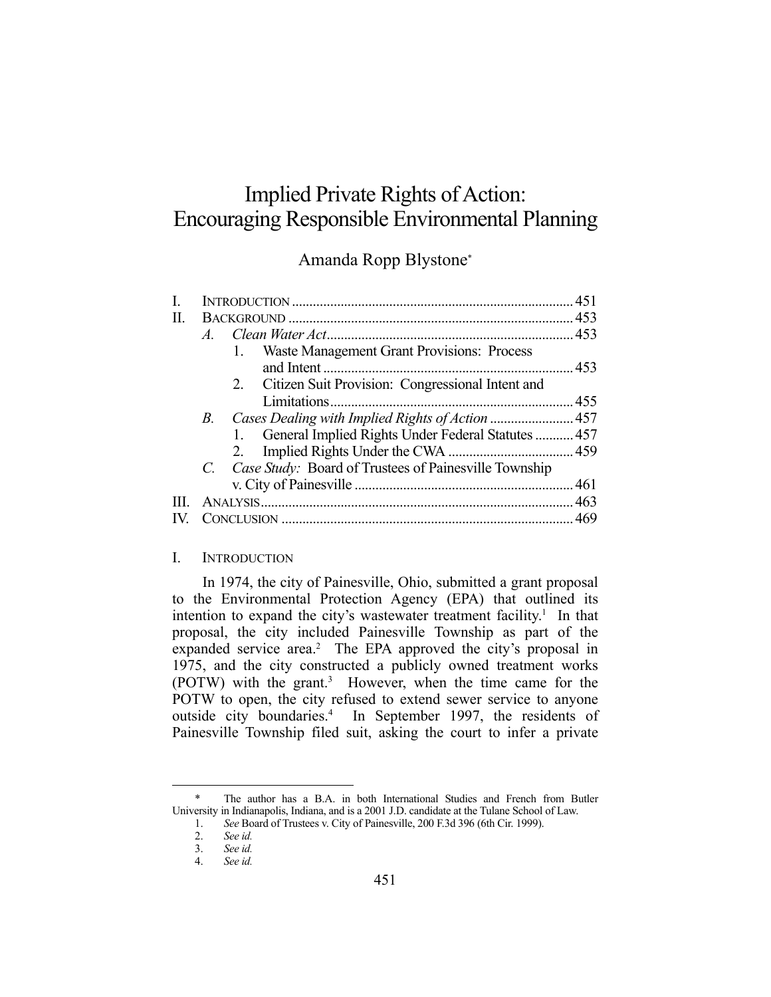# Implied Private Rights of Action: Encouraging Responsible Environmental Planning

# Amanda Ropp Blystone\*

| I. |                |                                                       |  |
|----|----------------|-------------------------------------------------------|--|
| П. |                |                                                       |  |
|    | $\overline{A}$ |                                                       |  |
|    |                | Waste Management Grant Provisions: Process<br>1.      |  |
|    |                |                                                       |  |
|    |                | 2. Citizen Suit Provision: Congressional Intent and   |  |
|    |                |                                                       |  |
|    | <i>B</i> .     | Cases Dealing with Implied Rights of Action  457      |  |
|    |                | 1. General Implied Rights Under Federal Statutes  457 |  |
|    |                | 2.                                                    |  |
|    |                | Case Study: Board of Trustees of Painesville Township |  |
|    |                |                                                       |  |
| Ш  |                |                                                       |  |
|    |                |                                                       |  |
|    |                |                                                       |  |

### I. INTRODUCTION

 In 1974, the city of Painesville, Ohio, submitted a grant proposal to the Environmental Protection Agency (EPA) that outlined its intention to expand the city's wastewater treatment facility.<sup>1</sup> In that proposal, the city included Painesville Township as part of the expanded service area.<sup>2</sup> The EPA approved the city's proposal in 1975, and the city constructed a publicly owned treatment works (POTW) with the grant.<sup>3</sup> However, when the time came for the POTW to open, the city refused to extend sewer service to anyone outside city boundaries.<sup>4</sup> In September 1997, the residents of Painesville Township filed suit, asking the court to infer a private

 <sup>\*</sup> The author has a B.A. in both International Studies and French from Butler University in Indianapolis, Indiana, and is a 2001 J.D. candidate at the Tulane School of Law.

 <sup>1.</sup> *See* Board of Trustees v. City of Painesville, 200 F.3d 396 (6th Cir. 1999).

 <sup>2.</sup> *See id.*

 <sup>3.</sup> *See id.* 

 <sup>4.</sup> *See id.*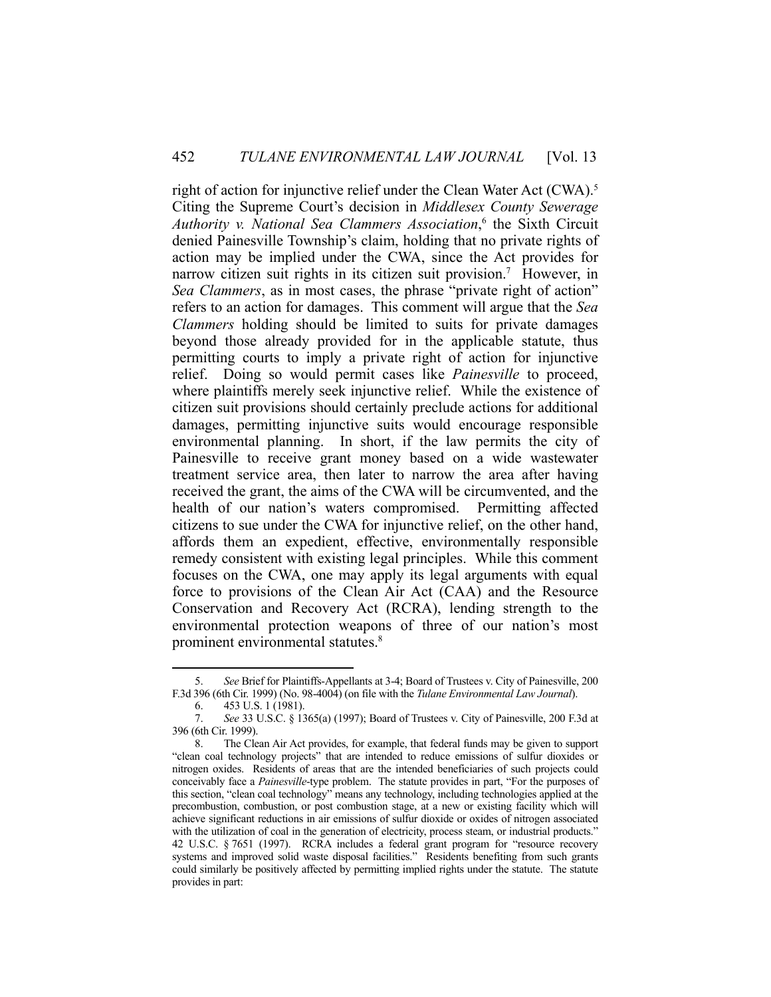right of action for injunctive relief under the Clean Water Act (CWA).<sup>5</sup> Citing the Supreme Court's decision in *Middlesex County Sewerage Authority v. National Sea Clammers Association*, 6 the Sixth Circuit denied Painesville Township's claim, holding that no private rights of action may be implied under the CWA, since the Act provides for narrow citizen suit rights in its citizen suit provision.<sup>7</sup> However, in *Sea Clammers*, as in most cases, the phrase "private right of action" refers to an action for damages. This comment will argue that the *Sea Clammers* holding should be limited to suits for private damages beyond those already provided for in the applicable statute, thus permitting courts to imply a private right of action for injunctive relief. Doing so would permit cases like *Painesville* to proceed, where plaintiffs merely seek injunctive relief. While the existence of citizen suit provisions should certainly preclude actions for additional damages, permitting injunctive suits would encourage responsible environmental planning. In short, if the law permits the city of Painesville to receive grant money based on a wide wastewater treatment service area, then later to narrow the area after having received the grant, the aims of the CWA will be circumvented, and the health of our nation's waters compromised. Permitting affected citizens to sue under the CWA for injunctive relief, on the other hand, affords them an expedient, effective, environmentally responsible remedy consistent with existing legal principles. While this comment focuses on the CWA, one may apply its legal arguments with equal force to provisions of the Clean Air Act (CAA) and the Resource Conservation and Recovery Act (RCRA), lending strength to the environmental protection weapons of three of our nation's most prominent environmental statutes.8

 <sup>5.</sup> *See* Brief for Plaintiffs-Appellants at 3-4; Board of Trustees v. City of Painesville, 200 F.3d 396 (6th Cir. 1999) (No. 98-4004) (on file with the *Tulane Environmental Law Journal*).

 <sup>6. 453</sup> U.S. 1 (1981).

 <sup>7.</sup> *See* 33 U.S.C. § 1365(a) (1997); Board of Trustees v. City of Painesville, 200 F.3d at 396 (6th Cir. 1999).

 <sup>8.</sup> The Clean Air Act provides, for example, that federal funds may be given to support "clean coal technology projects" that are intended to reduce emissions of sulfur dioxides or nitrogen oxides. Residents of areas that are the intended beneficiaries of such projects could conceivably face a *Painesville*-type problem. The statute provides in part, "For the purposes of this section, "clean coal technology" means any technology, including technologies applied at the precombustion, combustion, or post combustion stage, at a new or existing facility which will achieve significant reductions in air emissions of sulfur dioxide or oxides of nitrogen associated with the utilization of coal in the generation of electricity, process steam, or industrial products." 42 U.S.C. § 7651 (1997). RCRA includes a federal grant program for "resource recovery systems and improved solid waste disposal facilities." Residents benefiting from such grants could similarly be positively affected by permitting implied rights under the statute. The statute provides in part: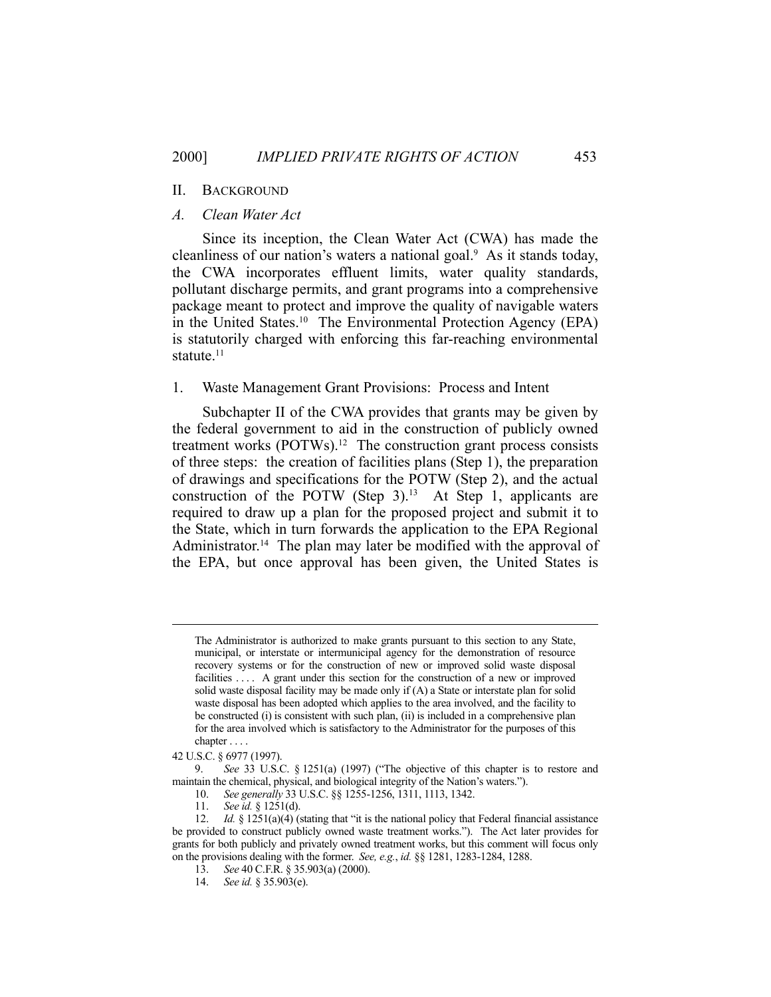#### *A. Clean Water Act*

 Since its inception, the Clean Water Act (CWA) has made the cleanliness of our nation's waters a national goal.<sup>9</sup> As it stands today, the CWA incorporates effluent limits, water quality standards, pollutant discharge permits, and grant programs into a comprehensive package meant to protect and improve the quality of navigable waters in the United States.10 The Environmental Protection Agency (EPA) is statutorily charged with enforcing this far-reaching environmental statute.<sup>11</sup>

### 1. Waste Management Grant Provisions: Process and Intent

 Subchapter II of the CWA provides that grants may be given by the federal government to aid in the construction of publicly owned treatment works (POTWs).12 The construction grant process consists of three steps: the creation of facilities plans (Step 1), the preparation of drawings and specifications for the POTW (Step 2), and the actual construction of the POTW (Step  $3$ ).<sup>13</sup> At Step 1, applicants are required to draw up a plan for the proposed project and submit it to the State, which in turn forwards the application to the EPA Regional Administrator.<sup>14</sup> The plan may later be modified with the approval of the EPA, but once approval has been given, the United States is

The Administrator is authorized to make grants pursuant to this section to any State, municipal, or interstate or intermunicipal agency for the demonstration of resource recovery systems or for the construction of new or improved solid waste disposal facilities .... A grant under this section for the construction of a new or improved solid waste disposal facility may be made only if (A) a State or interstate plan for solid waste disposal has been adopted which applies to the area involved, and the facility to be constructed (i) is consistent with such plan, (ii) is included in a comprehensive plan for the area involved which is satisfactory to the Administrator for the purposes of this chapter . . . .

<sup>42</sup> U.S.C. § 6977 (1997).

 <sup>9.</sup> *See* 33 U.S.C. § 1251(a) (1997) ("The objective of this chapter is to restore and maintain the chemical, physical, and biological integrity of the Nation's waters.").

 <sup>10.</sup> *See generally* 33 U.S.C. §§ 1255-1256, 1311, 1113, 1342.

 <sup>11.</sup> *See id.* § 1251(d).

<sup>12.</sup> *Id.* § 1251(a)(4) (stating that "it is the national policy that Federal financial assistance be provided to construct publicly owned waste treatment works."). The Act later provides for grants for both publicly and privately owned treatment works, but this comment will focus only on the provisions dealing with the former. *See, e.g.*, *id.* §§ 1281, 1283-1284, 1288.

 <sup>13.</sup> *See* 40 C.F.R. § 35.903(a) (2000).

 <sup>14.</sup> *See id.* § 35.903(e).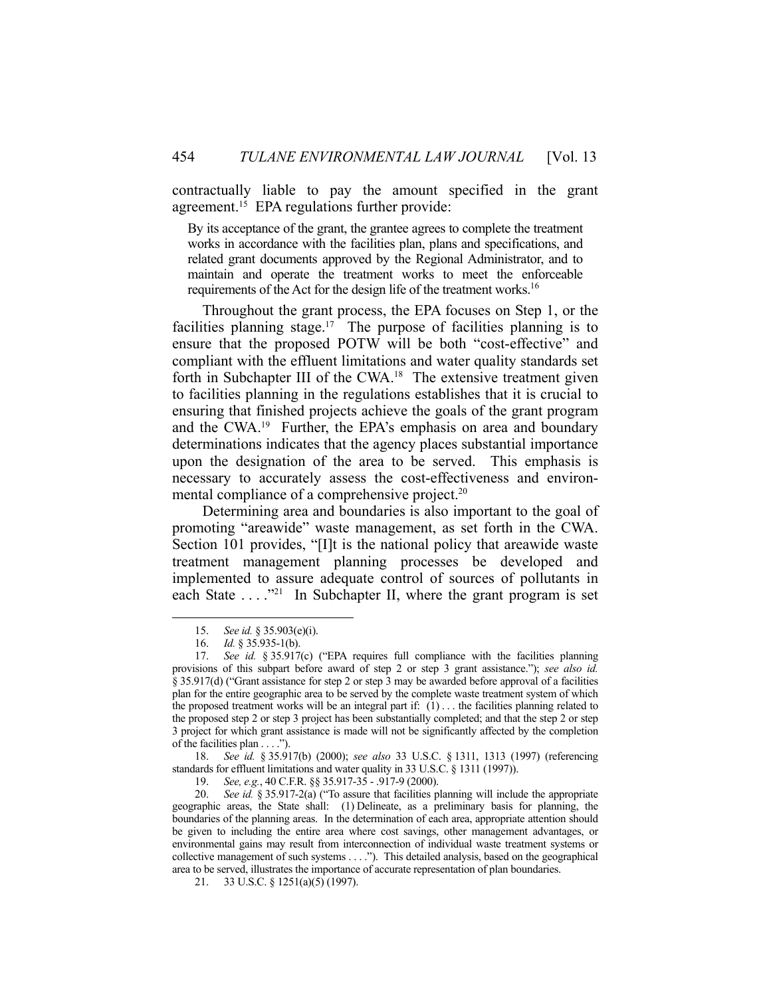contractually liable to pay the amount specified in the grant agreement.<sup>15</sup> EPA regulations further provide:

By its acceptance of the grant, the grantee agrees to complete the treatment works in accordance with the facilities plan, plans and specifications, and related grant documents approved by the Regional Administrator, and to maintain and operate the treatment works to meet the enforceable requirements of the Act for the design life of the treatment works.16

 Throughout the grant process, the EPA focuses on Step 1, or the facilities planning stage.<sup>17</sup> The purpose of facilities planning is to ensure that the proposed POTW will be both "cost-effective" and compliant with the effluent limitations and water quality standards set forth in Subchapter III of the CWA.<sup>18</sup> The extensive treatment given to facilities planning in the regulations establishes that it is crucial to ensuring that finished projects achieve the goals of the grant program and the CWA.19 Further, the EPA's emphasis on area and boundary determinations indicates that the agency places substantial importance upon the designation of the area to be served. This emphasis is necessary to accurately assess the cost-effectiveness and environmental compliance of a comprehensive project.<sup>20</sup>

 Determining area and boundaries is also important to the goal of promoting "areawide" waste management, as set forth in the CWA. Section 101 provides, "[I]t is the national policy that areawide waste treatment management planning processes be developed and implemented to assure adequate control of sources of pollutants in each State  $\dots$  <sup>21</sup> In Subchapter II, where the grant program is set

1

 18. *See id.* § 35.917(b) (2000); *see also* 33 U.S.C. § 1311, 1313 (1997) (referencing standards for effluent limitations and water quality in 33 U.S.C. § 1311 (1997)).

 <sup>15.</sup> *See id.* § 35.903(e)(i).

 <sup>16.</sup> *Id.* § 35.935-1(b).

 <sup>17.</sup> *See id.* § 35.917(c) ("EPA requires full compliance with the facilities planning provisions of this subpart before award of step 2 or step 3 grant assistance."); *see also id.* § 35.917(d) ("Grant assistance for step 2 or step 3 may be awarded before approval of a facilities plan for the entire geographic area to be served by the complete waste treatment system of which the proposed treatment works will be an integral part if:  $(1)$ ... the facilities planning related to the proposed step 2 or step 3 project has been substantially completed; and that the step 2 or step 3 project for which grant assistance is made will not be significantly affected by the completion of the facilities plan . . . .").

 <sup>19.</sup> *See, e.g.*, 40 C.F.R. §§ 35.917-35 - .917-9 (2000).

 <sup>20.</sup> *See id.* § 35.917-2(a) ("To assure that facilities planning will include the appropriate geographic areas, the State shall: (1) Delineate, as a preliminary basis for planning, the boundaries of the planning areas. In the determination of each area, appropriate attention should be given to including the entire area where cost savings, other management advantages, or environmental gains may result from interconnection of individual waste treatment systems or collective management of such systems . . . ."). This detailed analysis, based on the geographical area to be served, illustrates the importance of accurate representation of plan boundaries.

 <sup>21. 33</sup> U.S.C. § 1251(a)(5) (1997).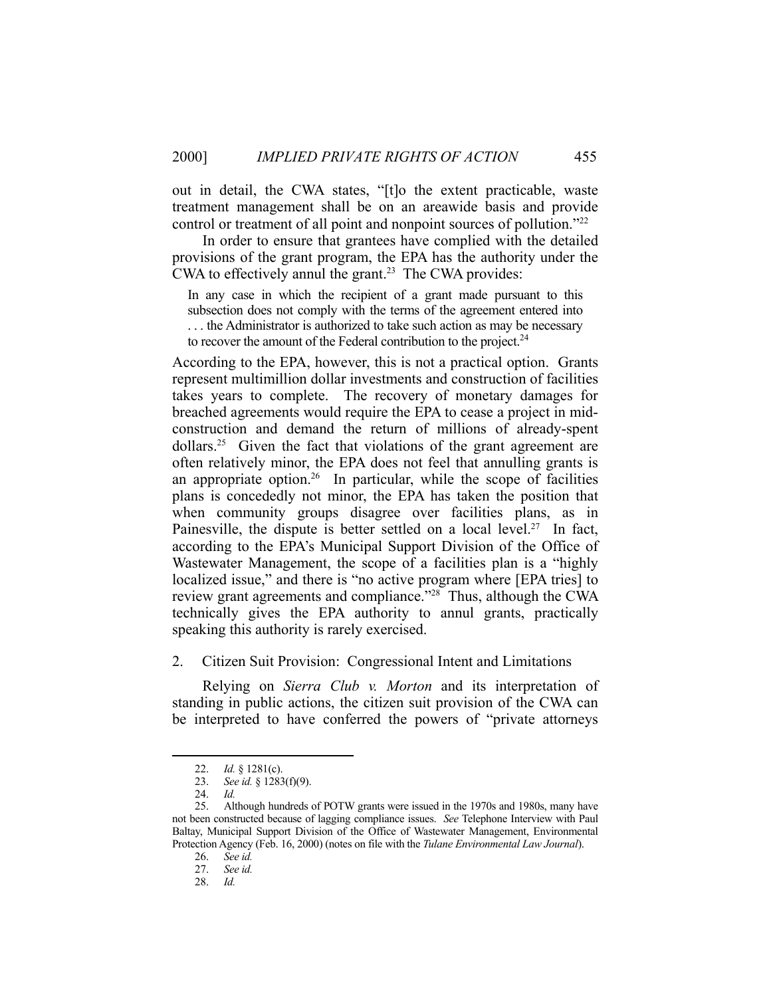out in detail, the CWA states, "[t]o the extent practicable, waste treatment management shall be on an areawide basis and provide control or treatment of all point and nonpoint sources of pollution."22

 In order to ensure that grantees have complied with the detailed provisions of the grant program, the EPA has the authority under the CWA to effectively annul the grant.<sup>23</sup> The CWA provides:

In any case in which the recipient of a grant made pursuant to this subsection does not comply with the terms of the agreement entered into . . . the Administrator is authorized to take such action as may be necessary to recover the amount of the Federal contribution to the project.<sup>24</sup>

According to the EPA, however, this is not a practical option. Grants represent multimillion dollar investments and construction of facilities takes years to complete. The recovery of monetary damages for breached agreements would require the EPA to cease a project in midconstruction and demand the return of millions of already-spent  $dollars.<sup>25</sup>$  Given the fact that violations of the grant agreement are often relatively minor, the EPA does not feel that annulling grants is an appropriate option.<sup>26</sup> In particular, while the scope of facilities plans is concededly not minor, the EPA has taken the position that when community groups disagree over facilities plans, as in Painesville, the dispute is better settled on a local level.<sup>27</sup> In fact, according to the EPA's Municipal Support Division of the Office of Wastewater Management, the scope of a facilities plan is a "highly localized issue," and there is "no active program where [EPA tries] to review grant agreements and compliance."28 Thus, although the CWA technically gives the EPA authority to annul grants, practically speaking this authority is rarely exercised.

2. Citizen Suit Provision: Congressional Intent and Limitations

 Relying on *Sierra Club v. Morton* and its interpretation of standing in public actions, the citizen suit provision of the CWA can be interpreted to have conferred the powers of "private attorneys

 <sup>22.</sup> *Id.* § 1281(c).

 <sup>23.</sup> *See id.* § 1283(f)(9).

 <sup>24.</sup> *Id.*

 <sup>25.</sup> Although hundreds of POTW grants were issued in the 1970s and 1980s, many have not been constructed because of lagging compliance issues. *See* Telephone Interview with Paul Baltay, Municipal Support Division of the Office of Wastewater Management, Environmental Protection Agency (Feb. 16, 2000) (notes on file with the *Tulane Environmental Law Journal*).

 <sup>26.</sup> *See id.*

 <sup>27.</sup> *See id.*

 <sup>28.</sup> *Id.*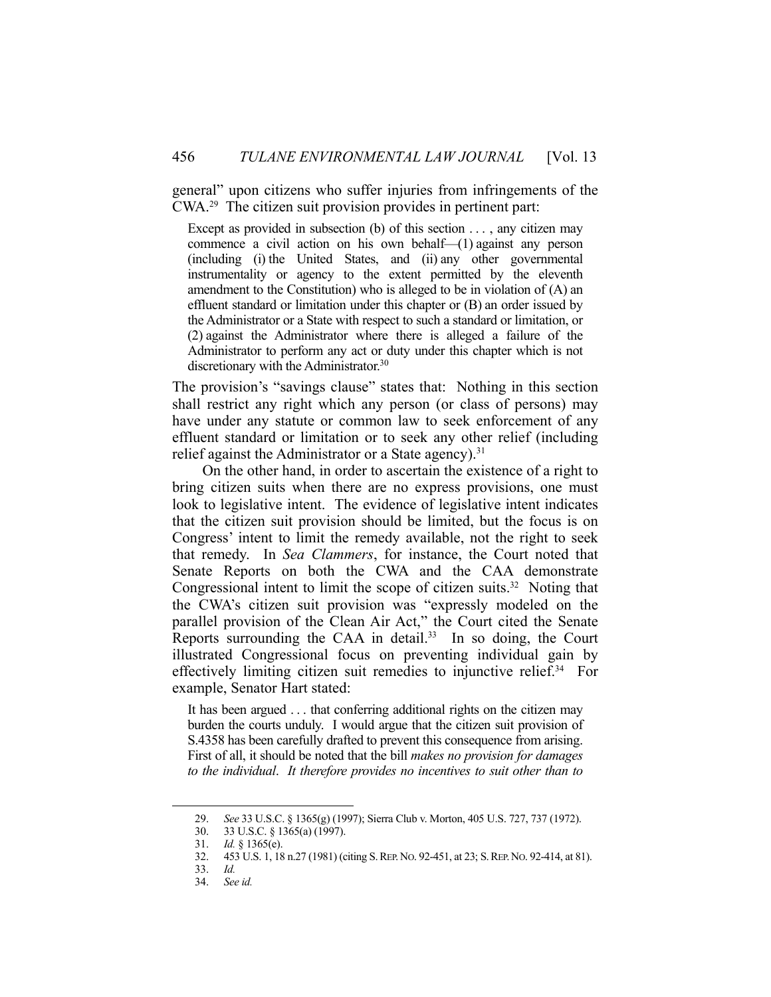general" upon citizens who suffer injuries from infringements of the CWA.29 The citizen suit provision provides in pertinent part:

Except as provided in subsection (b) of this section  $\dots$ , any citizen may commence a civil action on his own behalf—(1) against any person (including (i) the United States, and (ii) any other governmental instrumentality or agency to the extent permitted by the eleventh amendment to the Constitution) who is alleged to be in violation of (A) an effluent standard or limitation under this chapter or (B) an order issued by the Administrator or a State with respect to such a standard or limitation, or (2) against the Administrator where there is alleged a failure of the Administrator to perform any act or duty under this chapter which is not discretionary with the Administrator.<sup>30</sup>

The provision's "savings clause" states that: Nothing in this section shall restrict any right which any person (or class of persons) may have under any statute or common law to seek enforcement of any effluent standard or limitation or to seek any other relief (including relief against the Administrator or a State agency).<sup>31</sup>

 On the other hand, in order to ascertain the existence of a right to bring citizen suits when there are no express provisions, one must look to legislative intent. The evidence of legislative intent indicates that the citizen suit provision should be limited, but the focus is on Congress' intent to limit the remedy available, not the right to seek that remedy. In *Sea Clammers*, for instance, the Court noted that Senate Reports on both the CWA and the CAA demonstrate Congressional intent to limit the scope of citizen suits. $32$  Noting that the CWA's citizen suit provision was "expressly modeled on the parallel provision of the Clean Air Act," the Court cited the Senate Reports surrounding the CAA in detail.<sup>33</sup> In so doing, the Court illustrated Congressional focus on preventing individual gain by effectively limiting citizen suit remedies to injunctive relief. 34 For example, Senator Hart stated:

It has been argued . . . that conferring additional rights on the citizen may burden the courts unduly. I would argue that the citizen suit provision of S.4358 has been carefully drafted to prevent this consequence from arising. First of all, it should be noted that the bill *makes no provision for damages to the individual*. *It therefore provides no incentives to suit other than to* 

 <sup>29.</sup> *See* 33 U.S.C. § 1365(g) (1997); Sierra Club v. Morton, 405 U.S. 727, 737 (1972).

 <sup>30. 33</sup> U.S.C. § 1365(a) (1997).

 <sup>31.</sup> *Id.* § 1365(e).

 <sup>32. 453</sup> U.S. 1, 18 n.27 (1981) (citing S.REP.NO. 92-451, at 23; S.REP.NO. 92-414, at 81).

 <sup>33.</sup> *Id.*

 <sup>34.</sup> *See id.*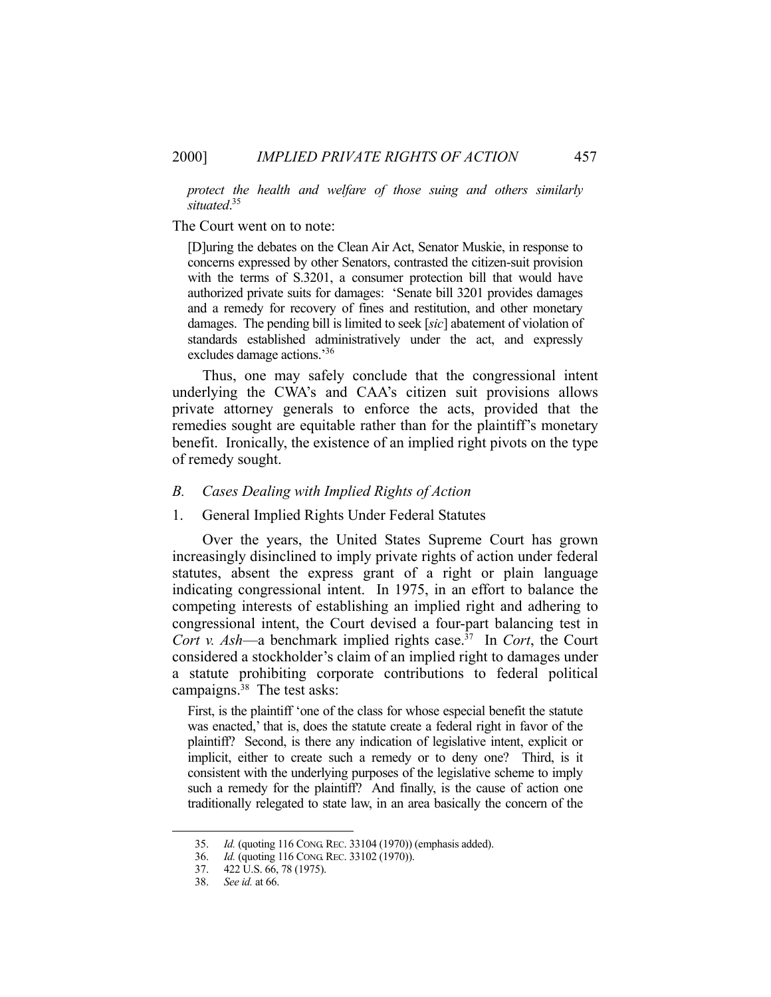*protect the health and welfare of those suing and others similarly situated*. 35

#### The Court went on to note:

[D]uring the debates on the Clean Air Act, Senator Muskie, in response to concerns expressed by other Senators, contrasted the citizen-suit provision with the terms of S.3201, a consumer protection bill that would have authorized private suits for damages: 'Senate bill 3201 provides damages and a remedy for recovery of fines and restitution, and other monetary damages. The pending bill is limited to seek [*sic*] abatement of violation of standards established administratively under the act, and expressly excludes damage actions.'36

 Thus, one may safely conclude that the congressional intent underlying the CWA's and CAA's citizen suit provisions allows private attorney generals to enforce the acts, provided that the remedies sought are equitable rather than for the plaintiff's monetary benefit. Ironically, the existence of an implied right pivots on the type of remedy sought.

# *B. Cases Dealing with Implied Rights of Action*

#### 1. General Implied Rights Under Federal Statutes

 Over the years, the United States Supreme Court has grown increasingly disinclined to imply private rights of action under federal statutes, absent the express grant of a right or plain language indicating congressional intent. In 1975, in an effort to balance the competing interests of establishing an implied right and adhering to congressional intent, the Court devised a four-part balancing test in *Cort v. Ash*—a benchmark implied rights case.<sup>37</sup> In *Cort*, the Court considered a stockholder's claim of an implied right to damages under a statute prohibiting corporate contributions to federal political campaigns.<sup>38</sup> The test asks:

First, is the plaintiff 'one of the class for whose especial benefit the statute was enacted,' that is, does the statute create a federal right in favor of the plaintiff? Second, is there any indication of legislative intent, explicit or implicit, either to create such a remedy or to deny one? Third, is it consistent with the underlying purposes of the legislative scheme to imply such a remedy for the plaintiff? And finally, is the cause of action one traditionally relegated to state law, in an area basically the concern of the

 <sup>35.</sup> *Id.* (quoting 116 CONG.REC. 33104 (1970)) (emphasis added).

 <sup>36.</sup> *Id.* (quoting 116 CONG.REC. 33102 (1970)).

<sup>37.</sup>  $422 \hat{U}$ .S. 66, 78 (1975).

 <sup>38.</sup> *See id.* at 66.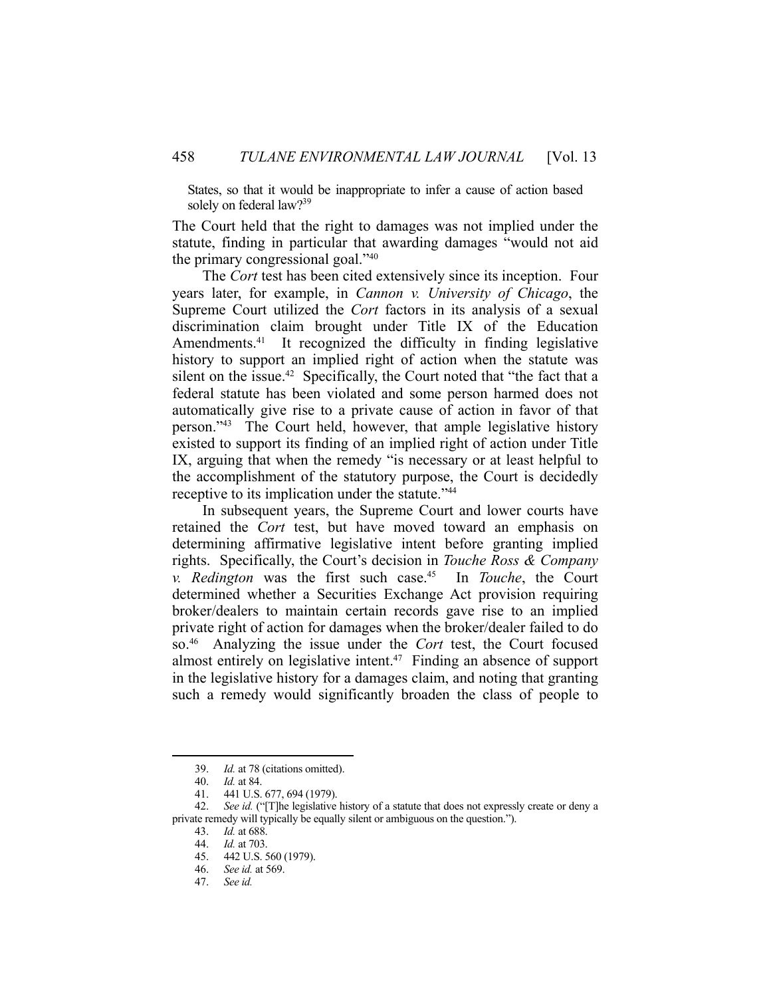States, so that it would be inappropriate to infer a cause of action based solely on federal law?<sup>39</sup>

The Court held that the right to damages was not implied under the statute, finding in particular that awarding damages "would not aid the primary congressional goal."40

 The *Cort* test has been cited extensively since its inception. Four years later, for example, in *Cannon v. University of Chicago*, the Supreme Court utilized the *Cort* factors in its analysis of a sexual discrimination claim brought under Title IX of the Education Amendments.<sup>41</sup> It recognized the difficulty in finding legislative history to support an implied right of action when the statute was silent on the issue.<sup>42</sup> Specifically, the Court noted that "the fact that a federal statute has been violated and some person harmed does not automatically give rise to a private cause of action in favor of that person."43 The Court held, however, that ample legislative history existed to support its finding of an implied right of action under Title IX, arguing that when the remedy "is necessary or at least helpful to the accomplishment of the statutory purpose, the Court is decidedly receptive to its implication under the statute."<sup>44</sup>

 In subsequent years, the Supreme Court and lower courts have retained the *Cort* test, but have moved toward an emphasis on determining affirmative legislative intent before granting implied rights. Specifically, the Court's decision in *Touche Ross & Company v. Redington* was the first such case.45 In *Touche*, the Court determined whether a Securities Exchange Act provision requiring broker/dealers to maintain certain records gave rise to an implied private right of action for damages when the broker/dealer failed to do so.46 Analyzing the issue under the *Cort* test, the Court focused almost entirely on legislative intent.<sup>47</sup> Finding an absence of support in the legislative history for a damages claim, and noting that granting such a remedy would significantly broaden the class of people to

 <sup>39.</sup> *Id.* at 78 (citations omitted).

 <sup>40.</sup> *Id.* at 84.

 <sup>41. 441</sup> U.S. 677, 694 (1979).

 <sup>42.</sup> *See id.* ("[T]he legislative history of a statute that does not expressly create or deny a private remedy will typically be equally silent or ambiguous on the question.").

 <sup>43.</sup> *Id.* at 688.

 <sup>44.</sup> *Id.* at 703.

 <sup>45. 442</sup> U.S. 560 (1979).

 <sup>46.</sup> *See id.* at 569.

 <sup>47.</sup> *See id.*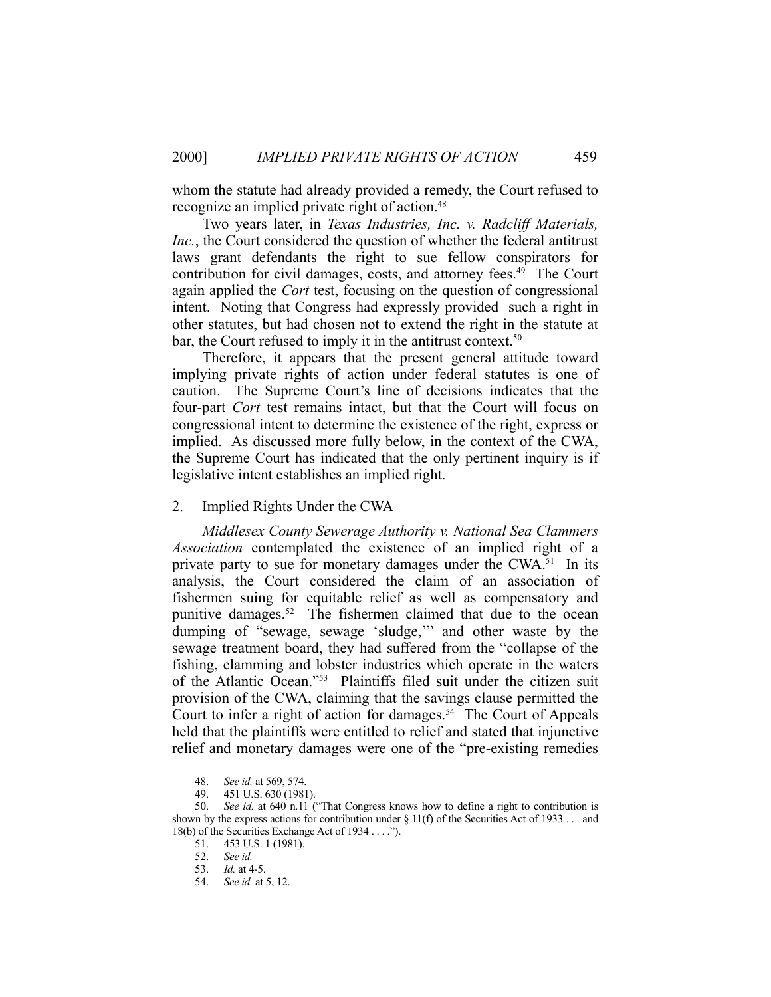whom the statute had already provided a remedy, the Court refused to recognize an implied private right of action.<sup>48</sup>

 Two years later, in *Texas Industries, Inc. v. Radcliff Materials, Inc.*, the Court considered the question of whether the federal antitrust laws grant defendants the right to sue fellow conspirators for contribution for civil damages, costs, and attorney fees.<sup>49</sup> The Court again applied the *Cort* test, focusing on the question of congressional intent. Noting that Congress had expressly provided such a right in other statutes, but had chosen not to extend the right in the statute at bar, the Court refused to imply it in the antitrust context.<sup>50</sup>

 Therefore, it appears that the present general attitude toward implying private rights of action under federal statutes is one of caution. The Supreme Court's line of decisions indicates that the four-part *Cort* test remains intact, but that the Court will focus on congressional intent to determine the existence of the right, express or implied. As discussed more fully below, in the context of the CWA, the Supreme Court has indicated that the only pertinent inquiry is if legislative intent establishes an implied right.

# 2. Implied Rights Under the CWA

*Middlesex County Sewerage Authority v. National Sea Clammers Association* contemplated the existence of an implied right of a private party to sue for monetary damages under the CWA.<sup>51</sup> In its analysis, the Court considered the claim of an association of fishermen suing for equitable relief as well as compensatory and punitive damages.<sup>52</sup> The fishermen claimed that due to the ocean dumping of "sewage, sewage 'sludge,'" and other waste by the sewage treatment board, they had suffered from the "collapse of the fishing, clamming and lobster industries which operate in the waters of the Atlantic Ocean."53 Plaintiffs filed suit under the citizen suit provision of the CWA, claiming that the savings clause permitted the Court to infer a right of action for damages.<sup>54</sup> The Court of Appeals held that the plaintiffs were entitled to relief and stated that injunctive relief and monetary damages were one of the "pre-existing remedies

 <sup>48.</sup> *See id.* at 569, 574.

 <sup>49. 451</sup> U.S. 630 (1981).

 <sup>50.</sup> *See id.* at 640 n.11 ("That Congress knows how to define a right to contribution is shown by the express actions for contribution under  $\S 11(f)$  of the Securities Act of 1933 ... and 18(b) of the Securities Exchange Act of 1934 . . . .").

 <sup>51. 453</sup> U.S. 1 (1981).

 <sup>52.</sup> *See id.*

 <sup>53.</sup> *Id.* at 4-5.

 <sup>54.</sup> *See id.* at 5, 12.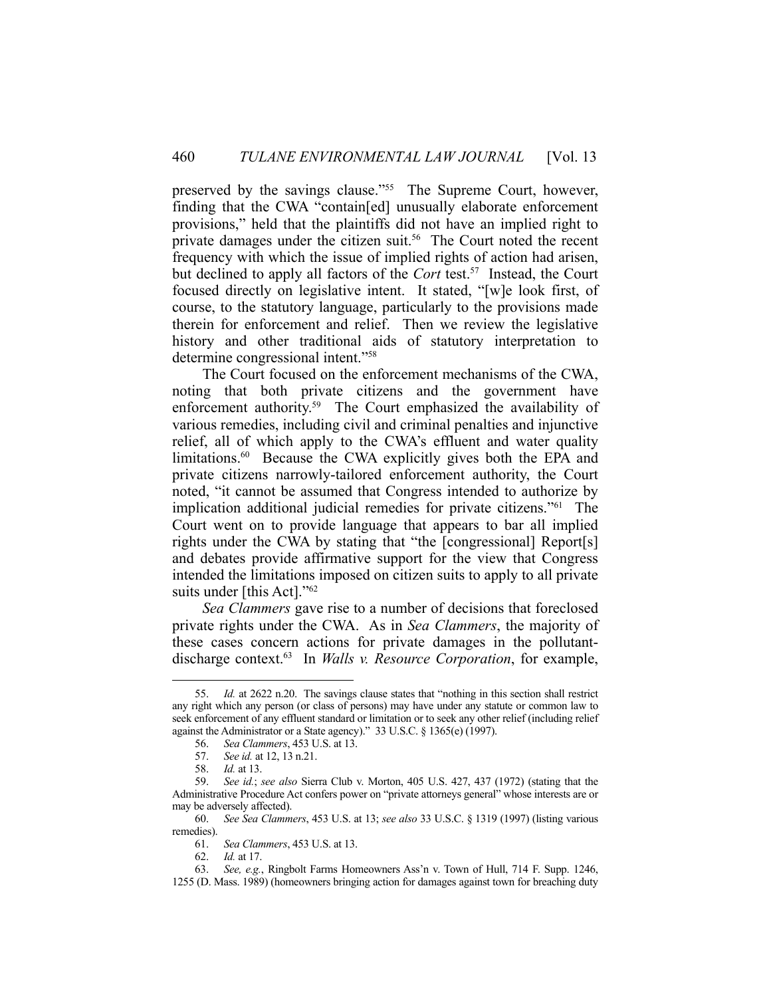preserved by the savings clause."55 The Supreme Court, however, finding that the CWA "contain[ed] unusually elaborate enforcement provisions," held that the plaintiffs did not have an implied right to private damages under the citizen suit.<sup>56</sup> The Court noted the recent frequency with which the issue of implied rights of action had arisen, but declined to apply all factors of the *Cort* test.<sup>57</sup> Instead, the Court focused directly on legislative intent. It stated, "[w]e look first, of course, to the statutory language, particularly to the provisions made therein for enforcement and relief. Then we review the legislative history and other traditional aids of statutory interpretation to determine congressional intent."58

 The Court focused on the enforcement mechanisms of the CWA, noting that both private citizens and the government have enforcement authority.<sup>59</sup> The Court emphasized the availability of various remedies, including civil and criminal penalties and injunctive relief, all of which apply to the CWA's effluent and water quality limitations.<sup>60</sup> Because the CWA explicitly gives both the EPA and private citizens narrowly-tailored enforcement authority, the Court noted, "it cannot be assumed that Congress intended to authorize by implication additional judicial remedies for private citizens."61 The Court went on to provide language that appears to bar all implied rights under the CWA by stating that "the [congressional] Report[s] and debates provide affirmative support for the view that Congress intended the limitations imposed on citizen suits to apply to all private suits under [this Act]."<sup>62</sup>

*Sea Clammers* gave rise to a number of decisions that foreclosed private rights under the CWA. As in *Sea Clammers*, the majority of these cases concern actions for private damages in the pollutantdischarge context.63 In *Walls v. Resource Corporation*, for example,

1

62. *Id.* at 17.

 <sup>55.</sup> *Id.* at 2622 n.20. The savings clause states that "nothing in this section shall restrict any right which any person (or class of persons) may have under any statute or common law to seek enforcement of any effluent standard or limitation or to seek any other relief (including relief against the Administrator or a State agency)." 33 U.S.C. § 1365(e) (1997).

 <sup>56.</sup> *Sea Clammers*, 453 U.S. at 13.

 <sup>57.</sup> *See id.* at 12, 13 n.21.

 <sup>58.</sup> *Id.* at 13.

 <sup>59.</sup> *See id.*; *see also* Sierra Club v. Morton, 405 U.S. 427, 437 (1972) (stating that the Administrative Procedure Act confers power on "private attorneys general" whose interests are or may be adversely affected).

 <sup>60.</sup> *See Sea Clammers*, 453 U.S. at 13; *see also* 33 U.S.C. § 1319 (1997) (listing various remedies).

 <sup>61.</sup> *Sea Clammers*, 453 U.S. at 13.

 <sup>63.</sup> *See, e.g.*, Ringbolt Farms Homeowners Ass'n v. Town of Hull, 714 F. Supp. 1246, 1255 (D. Mass. 1989) (homeowners bringing action for damages against town for breaching duty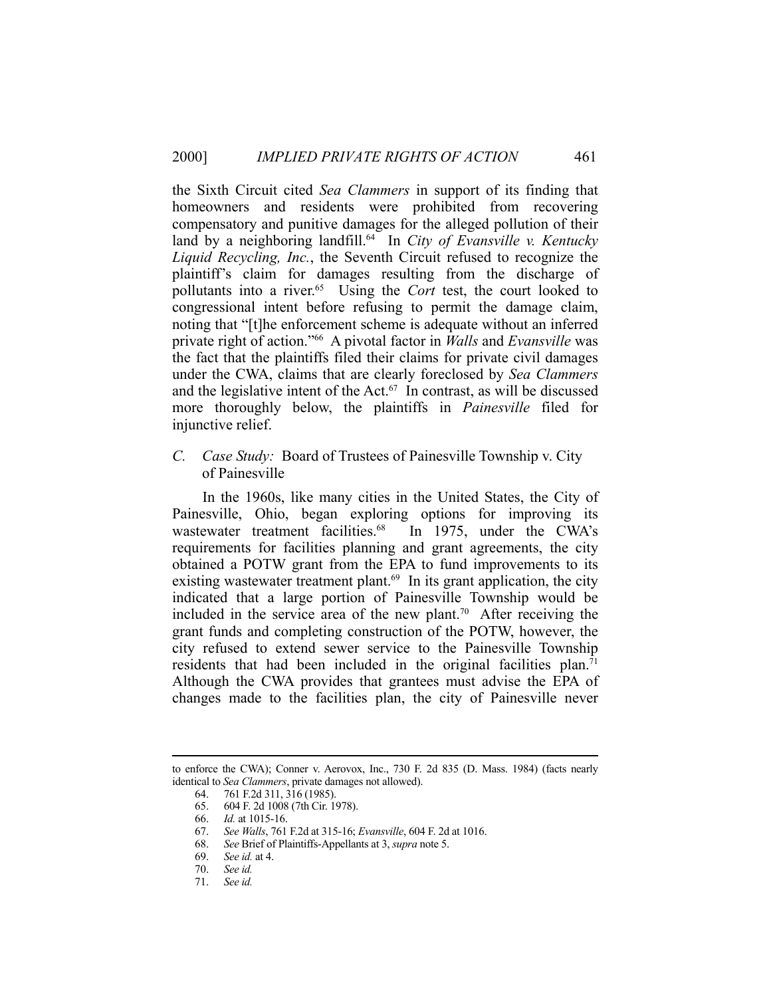the Sixth Circuit cited *Sea Clammers* in support of its finding that homeowners and residents were prohibited from recovering compensatory and punitive damages for the alleged pollution of their land by a neighboring landfill.<sup>64</sup> In *City of Evansville v. Kentucky Liquid Recycling, Inc.*, the Seventh Circuit refused to recognize the plaintiff's claim for damages resulting from the discharge of pollutants into a river.65 Using the *Cort* test, the court looked to congressional intent before refusing to permit the damage claim, noting that "[t]he enforcement scheme is adequate without an inferred private right of action."66 A pivotal factor in *Walls* and *Evansville* was the fact that the plaintiffs filed their claims for private civil damages under the CWA, claims that are clearly foreclosed by *Sea Clammers* and the legislative intent of the Act. $67$  In contrast, as will be discussed more thoroughly below, the plaintiffs in *Painesville* filed for injunctive relief.

*C. Case Study:* Board of Trustees of Painesville Township v. City of Painesville

 In the 1960s, like many cities in the United States, the City of Painesville, Ohio, began exploring options for improving its wastewater treatment facilities.<sup>68</sup> In 1975, under the CWA's requirements for facilities planning and grant agreements, the city obtained a POTW grant from the EPA to fund improvements to its existing wastewater treatment plant.<sup>69</sup> In its grant application, the city indicated that a large portion of Painesville Township would be included in the service area of the new plant.<sup>70</sup> After receiving the grant funds and completing construction of the POTW, however, the city refused to extend sewer service to the Painesville Township residents that had been included in the original facilities plan.<sup>71</sup> Although the CWA provides that grantees must advise the EPA of changes made to the facilities plan, the city of Painesville never

to enforce the CWA); Conner v. Aerovox, Inc., 730 F. 2d 835 (D. Mass. 1984) (facts nearly identical to *Sea Clammers*, private damages not allowed).

 <sup>64. 761</sup> F.2d 311, 316 (1985).

 <sup>65. 604</sup> F. 2d 1008 (7th Cir. 1978).

 <sup>66.</sup> *Id.* at 1015-16.

 <sup>67.</sup> *See Walls*, 761 F.2d at 315-16; *Evansville*, 604 F. 2d at 1016.

 <sup>68.</sup> *See* Brief of Plaintiffs-Appellants at 3, *supra* note 5.

 <sup>69.</sup> *See id.* at 4.

 <sup>70.</sup> *See id.*

 <sup>71.</sup> *See id.*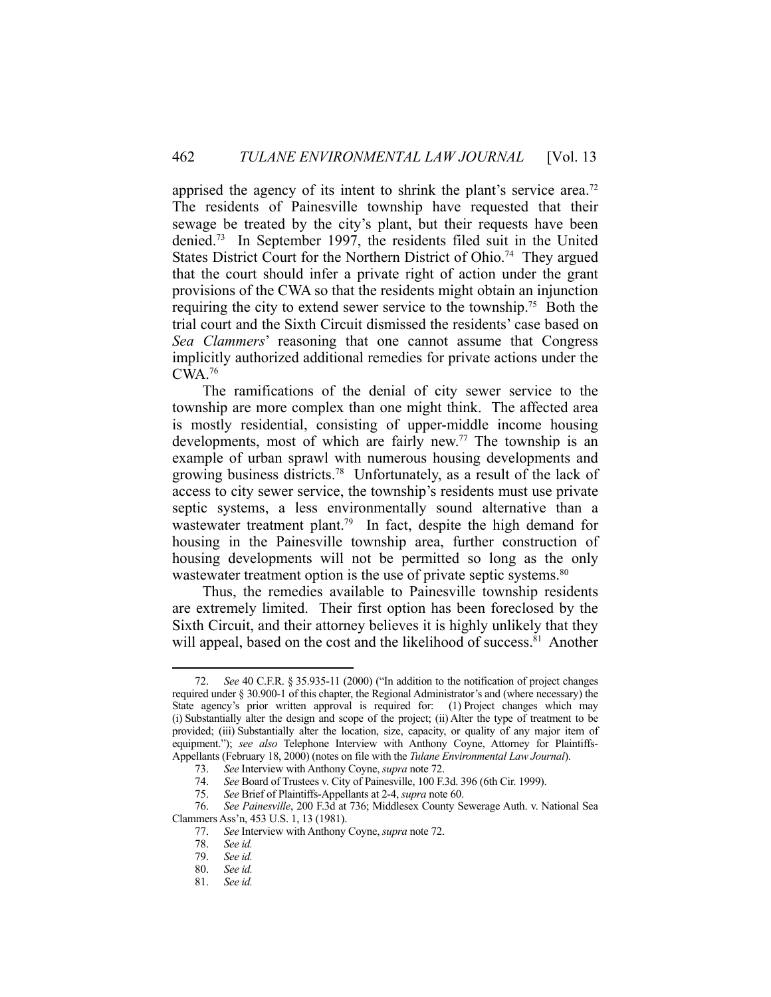apprised the agency of its intent to shrink the plant's service area.<sup>72</sup> The residents of Painesville township have requested that their sewage be treated by the city's plant, but their requests have been denied.73 In September 1997, the residents filed suit in the United States District Court for the Northern District of Ohio.<sup>74</sup> They argued that the court should infer a private right of action under the grant provisions of the CWA so that the residents might obtain an injunction requiring the city to extend sewer service to the township.<sup>75</sup> Both the trial court and the Sixth Circuit dismissed the residents' case based on *Sea Clammers*' reasoning that one cannot assume that Congress implicitly authorized additional remedies for private actions under the CWA.76

 The ramifications of the denial of city sewer service to the township are more complex than one might think. The affected area is mostly residential, consisting of upper-middle income housing developments, most of which are fairly new.<sup>77</sup> The township is an example of urban sprawl with numerous housing developments and growing business districts.78 Unfortunately, as a result of the lack of access to city sewer service, the township's residents must use private septic systems, a less environmentally sound alternative than a wastewater treatment plant.<sup>79</sup> In fact, despite the high demand for housing in the Painesville township area, further construction of housing developments will not be permitted so long as the only wastewater treatment option is the use of private septic systems.<sup>80</sup>

 Thus, the remedies available to Painesville township residents are extremely limited. Their first option has been foreclosed by the Sixth Circuit, and their attorney believes it is highly unlikely that they will appeal, based on the cost and the likelihood of success.<sup>81</sup> Another

 <sup>72.</sup> *See* 40 C.F.R. § 35.935-11 (2000) ("In addition to the notification of project changes required under § 30.900-1 of this chapter, the Regional Administrator's and (where necessary) the State agency's prior written approval is required for: (1) Project changes which may (i) Substantially alter the design and scope of the project; (ii) Alter the type of treatment to be provided; (iii) Substantially alter the location, size, capacity, or quality of any major item of equipment."); *see also* Telephone Interview with Anthony Coyne, Attorney for Plaintiffs-Appellants (February 18, 2000) (notes on file with the *Tulane Environmental Law Journal*).

 <sup>73.</sup> *See* Interview with Anthony Coyne, *supra* note 72.

 <sup>74.</sup> *See* Board of Trustees v. City of Painesville, 100 F.3d. 396 (6th Cir. 1999).

 <sup>75.</sup> *See* Brief of Plaintiffs-Appellants at 2-4, *supra* note 60.

 <sup>76.</sup> *See Painesville*, 200 F.3d at 736; Middlesex County Sewerage Auth. v. National Sea Clammers Ass'n, 453 U.S. 1, 13 (1981).

 <sup>77.</sup> *See* Interview with Anthony Coyne, *supra* note 72.

See id.

 <sup>79.</sup> *See id.*

 <sup>80.</sup> *See id.*

 <sup>81.</sup> *See id.*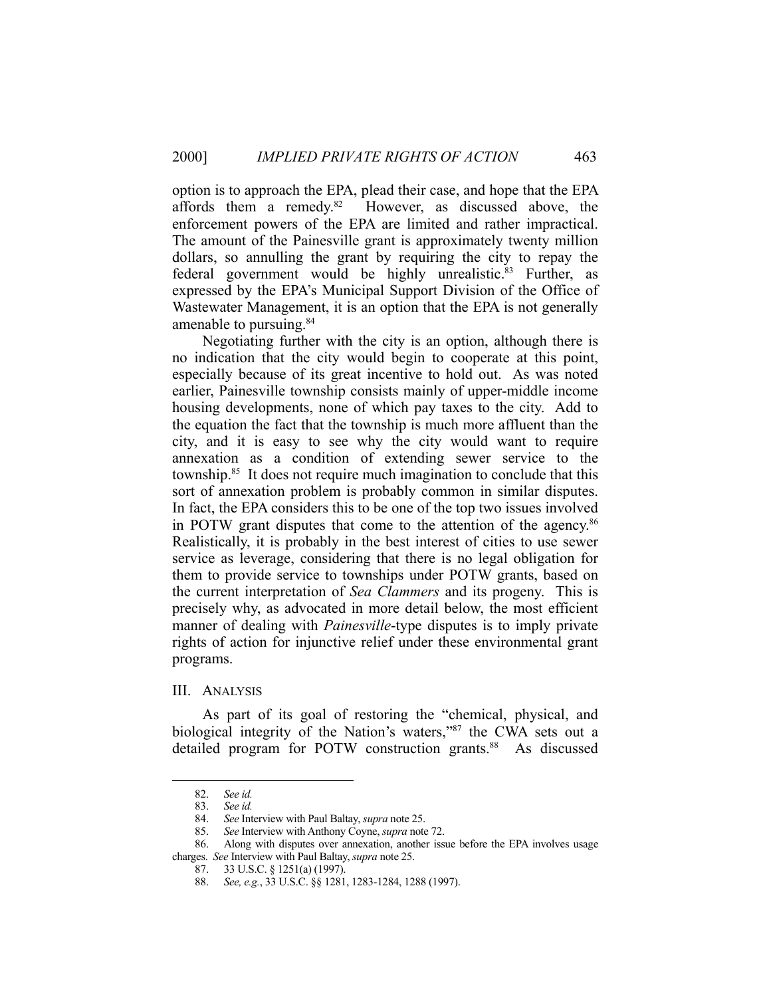option is to approach the EPA, plead their case, and hope that the EPA affords them a remedy.82 However, as discussed above, the enforcement powers of the EPA are limited and rather impractical. The amount of the Painesville grant is approximately twenty million dollars, so annulling the grant by requiring the city to repay the federal government would be highly unrealistic.<sup>83</sup> Further, as expressed by the EPA's Municipal Support Division of the Office of Wastewater Management, it is an option that the EPA is not generally amenable to pursuing.<sup>84</sup>

 Negotiating further with the city is an option, although there is no indication that the city would begin to cooperate at this point, especially because of its great incentive to hold out. As was noted earlier, Painesville township consists mainly of upper-middle income housing developments, none of which pay taxes to the city. Add to the equation the fact that the township is much more affluent than the city, and it is easy to see why the city would want to require annexation as a condition of extending sewer service to the township.85 It does not require much imagination to conclude that this sort of annexation problem is probably common in similar disputes. In fact, the EPA considers this to be one of the top two issues involved in POTW grant disputes that come to the attention of the agency. 86 Realistically, it is probably in the best interest of cities to use sewer service as leverage, considering that there is no legal obligation for them to provide service to townships under POTW grants, based on the current interpretation of *Sea Clammers* and its progeny. This is precisely why, as advocated in more detail below, the most efficient manner of dealing with *Painesville*-type disputes is to imply private rights of action for injunctive relief under these environmental grant programs.

#### III. ANALYSIS

 As part of its goal of restoring the "chemical, physical, and biological integrity of the Nation's waters,"87 the CWA sets out a detailed program for POTW construction grants.<sup>88</sup> As discussed

 <sup>82.</sup> *See id.* 

 <sup>83.</sup> *See id.*

 <sup>84.</sup> *See* Interview with Paul Baltay, *supra* note 25.

 <sup>85.</sup> *See* Interview with Anthony Coyne, *supra* note 72.

 <sup>86.</sup> Along with disputes over annexation, another issue before the EPA involves usage charges. *See* Interview with Paul Baltay, *supra* note 25.

 <sup>87. 33</sup> U.S.C. § 1251(a) (1997).

 <sup>88.</sup> *See, e.g.*, 33 U.S.C. §§ 1281, 1283-1284, 1288 (1997).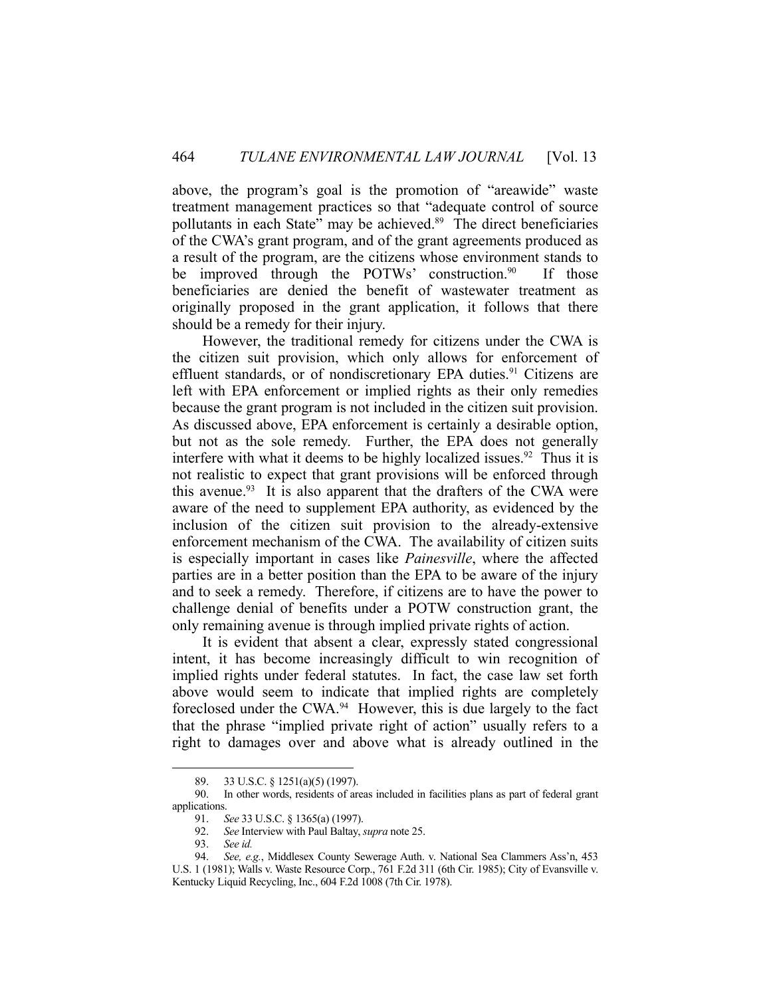above, the program's goal is the promotion of "areawide" waste treatment management practices so that "adequate control of source pollutants in each State" may be achieved.89 The direct beneficiaries of the CWA's grant program, and of the grant agreements produced as a result of the program, are the citizens whose environment stands to be improved through the POTWs' construction.<sup>90</sup> If those beneficiaries are denied the benefit of wastewater treatment as originally proposed in the grant application, it follows that there should be a remedy for their injury.

 However, the traditional remedy for citizens under the CWA is the citizen suit provision, which only allows for enforcement of effluent standards, or of nondiscretionary EPA duties.<sup>91</sup> Citizens are left with EPA enforcement or implied rights as their only remedies because the grant program is not included in the citizen suit provision. As discussed above, EPA enforcement is certainly a desirable option, but not as the sole remedy. Further, the EPA does not generally interfere with what it deems to be highly localized issues.<sup>92</sup> Thus it is not realistic to expect that grant provisions will be enforced through this avenue. $93$  It is also apparent that the drafters of the CWA were aware of the need to supplement EPA authority, as evidenced by the inclusion of the citizen suit provision to the already-extensive enforcement mechanism of the CWA. The availability of citizen suits is especially important in cases like *Painesville*, where the affected parties are in a better position than the EPA to be aware of the injury and to seek a remedy. Therefore, if citizens are to have the power to challenge denial of benefits under a POTW construction grant, the only remaining avenue is through implied private rights of action.

 It is evident that absent a clear, expressly stated congressional intent, it has become increasingly difficult to win recognition of implied rights under federal statutes. In fact, the case law set forth above would seem to indicate that implied rights are completely foreclosed under the CWA.94 However, this is due largely to the fact that the phrase "implied private right of action" usually refers to a right to damages over and above what is already outlined in the

 <sup>89. 33</sup> U.S.C. § 1251(a)(5) (1997).

 <sup>90.</sup> In other words, residents of areas included in facilities plans as part of federal grant applications.

 <sup>91.</sup> *See* 33 U.S.C. § 1365(a) (1997).

 <sup>92.</sup> *See* Interview with Paul Baltay, *supra* note 25.

 <sup>93.</sup> *See id.*

 <sup>94.</sup> *See, e.g.*, Middlesex County Sewerage Auth. v. National Sea Clammers Ass'n, 453 U.S. 1 (1981); Walls v. Waste Resource Corp., 761 F.2d 311 (6th Cir. 1985); City of Evansville v. Kentucky Liquid Recycling, Inc., 604 F.2d 1008 (7th Cir. 1978).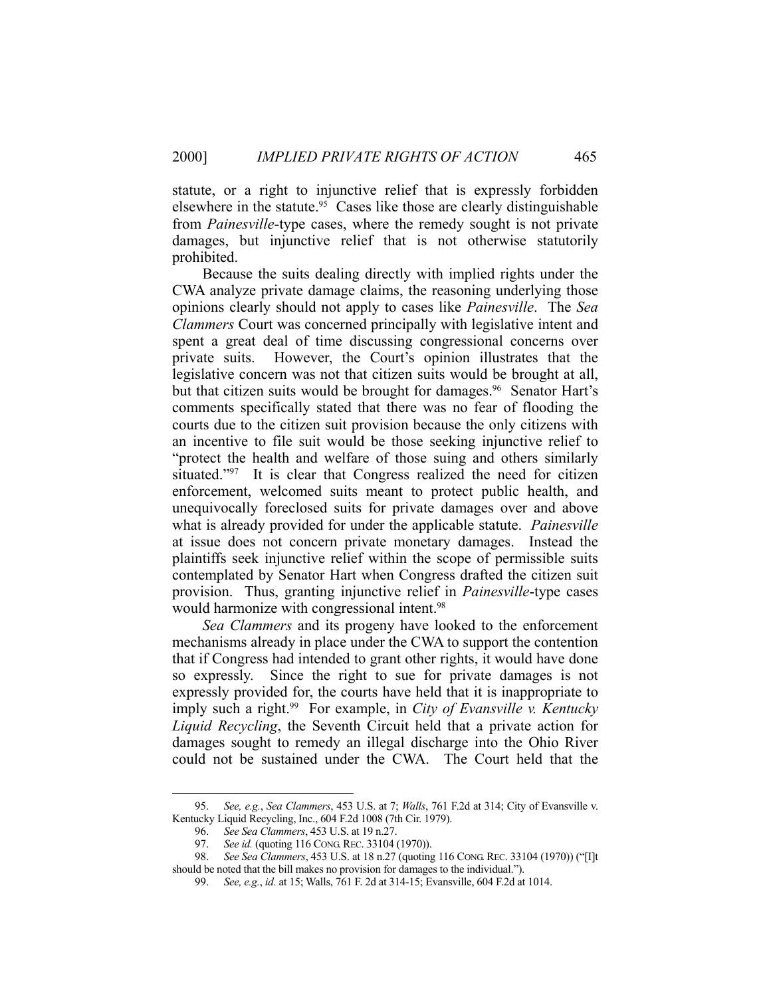statute, or a right to injunctive relief that is expressly forbidden elsewhere in the statute.<sup>95</sup> Cases like those are clearly distinguishable from *Painesville*-type cases, where the remedy sought is not private damages, but injunctive relief that is not otherwise statutorily prohibited.

 Because the suits dealing directly with implied rights under the CWA analyze private damage claims, the reasoning underlying those opinions clearly should not apply to cases like *Painesville*. The *Sea Clammers* Court was concerned principally with legislative intent and spent a great deal of time discussing congressional concerns over private suits. However, the Court's opinion illustrates that the legislative concern was not that citizen suits would be brought at all, but that citizen suits would be brought for damages.<sup>96</sup> Senator Hart's comments specifically stated that there was no fear of flooding the courts due to the citizen suit provision because the only citizens with an incentive to file suit would be those seeking injunctive relief to "protect the health and welfare of those suing and others similarly situated."<sup>97</sup> It is clear that Congress realized the need for citizen enforcement, welcomed suits meant to protect public health, and unequivocally foreclosed suits for private damages over and above what is already provided for under the applicable statute. *Painesville* at issue does not concern private monetary damages. Instead the plaintiffs seek injunctive relief within the scope of permissible suits contemplated by Senator Hart when Congress drafted the citizen suit provision. Thus, granting injunctive relief in *Painesville*-type cases would harmonize with congressional intent.<sup>98</sup>

*Sea Clammers* and its progeny have looked to the enforcement mechanisms already in place under the CWA to support the contention that if Congress had intended to grant other rights, it would have done so expressly. Since the right to sue for private damages is not expressly provided for, the courts have held that it is inappropriate to imply such a right.<sup>99</sup> For example, in *City of Evansville v. Kentucky Liquid Recycling*, the Seventh Circuit held that a private action for damages sought to remedy an illegal discharge into the Ohio River could not be sustained under the CWA. The Court held that the

 <sup>95.</sup> *See, e.g.*, *Sea Clammers*, 453 U.S. at 7; *Walls*, 761 F.2d at 314; City of Evansville v. Kentucky Liquid Recycling, Inc., 604 F.2d 1008 (7th Cir. 1979).

 <sup>96.</sup> *See Sea Clammers*, 453 U.S. at 19 n.27.

 <sup>97.</sup> *See id.* (quoting 116 CONG.REC. 33104 (1970)).

 <sup>98.</sup> *See Sea Clammers*, 453 U.S. at 18 n.27 (quoting 116 CONG. REC. 33104 (1970)) ("[I]t should be noted that the bill makes no provision for damages to the individual.").

 <sup>99.</sup> *See, e.g.*, *id.* at 15; Walls, 761 F. 2d at 314-15; Evansville, 604 F.2d at 1014.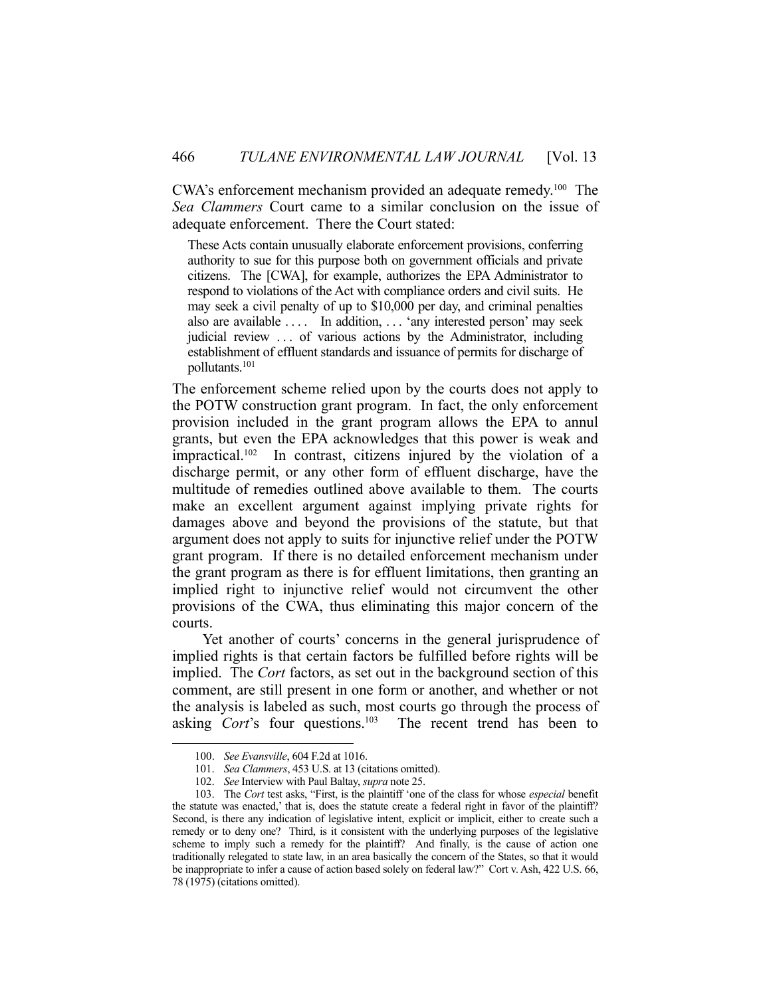CWA's enforcement mechanism provided an adequate remedy.100 The *Sea Clammers* Court came to a similar conclusion on the issue of adequate enforcement. There the Court stated:

These Acts contain unusually elaborate enforcement provisions, conferring authority to sue for this purpose both on government officials and private citizens. The [CWA], for example, authorizes the EPA Administrator to respond to violations of the Act with compliance orders and civil suits. He may seek a civil penalty of up to \$10,000 per day, and criminal penalties also are available . . . . In addition, . . . 'any interested person' may seek judicial review . . . of various actions by the Administrator, including establishment of effluent standards and issuance of permits for discharge of pollutants.101

The enforcement scheme relied upon by the courts does not apply to the POTW construction grant program. In fact, the only enforcement provision included in the grant program allows the EPA to annul grants, but even the EPA acknowledges that this power is weak and impractical.102 In contrast, citizens injured by the violation of a discharge permit, or any other form of effluent discharge, have the multitude of remedies outlined above available to them. The courts make an excellent argument against implying private rights for damages above and beyond the provisions of the statute, but that argument does not apply to suits for injunctive relief under the POTW grant program. If there is no detailed enforcement mechanism under the grant program as there is for effluent limitations, then granting an implied right to injunctive relief would not circumvent the other provisions of the CWA, thus eliminating this major concern of the courts.

 Yet another of courts' concerns in the general jurisprudence of implied rights is that certain factors be fulfilled before rights will be implied. The *Cort* factors, as set out in the background section of this comment, are still present in one form or another, and whether or not the analysis is labeled as such, most courts go through the process of asking *Cort*'s four questions.<sup>103</sup> The recent trend has been to

 <sup>100.</sup> *See Evansville*, 604 F.2d at 1016.

 <sup>101.</sup> *Sea Clammers*, 453 U.S. at 13 (citations omitted).

 <sup>102.</sup> *See* Interview with Paul Baltay, *supra* note 25.

 <sup>103.</sup> The *Cort* test asks, "First, is the plaintiff 'one of the class for whose *especial* benefit the statute was enacted,' that is, does the statute create a federal right in favor of the plaintiff? Second, is there any indication of legislative intent, explicit or implicit, either to create such a remedy or to deny one? Third, is it consistent with the underlying purposes of the legislative scheme to imply such a remedy for the plaintiff? And finally, is the cause of action one traditionally relegated to state law, in an area basically the concern of the States, so that it would be inappropriate to infer a cause of action based solely on federal law?" Cort v. Ash, 422 U.S. 66, 78 (1975) (citations omitted).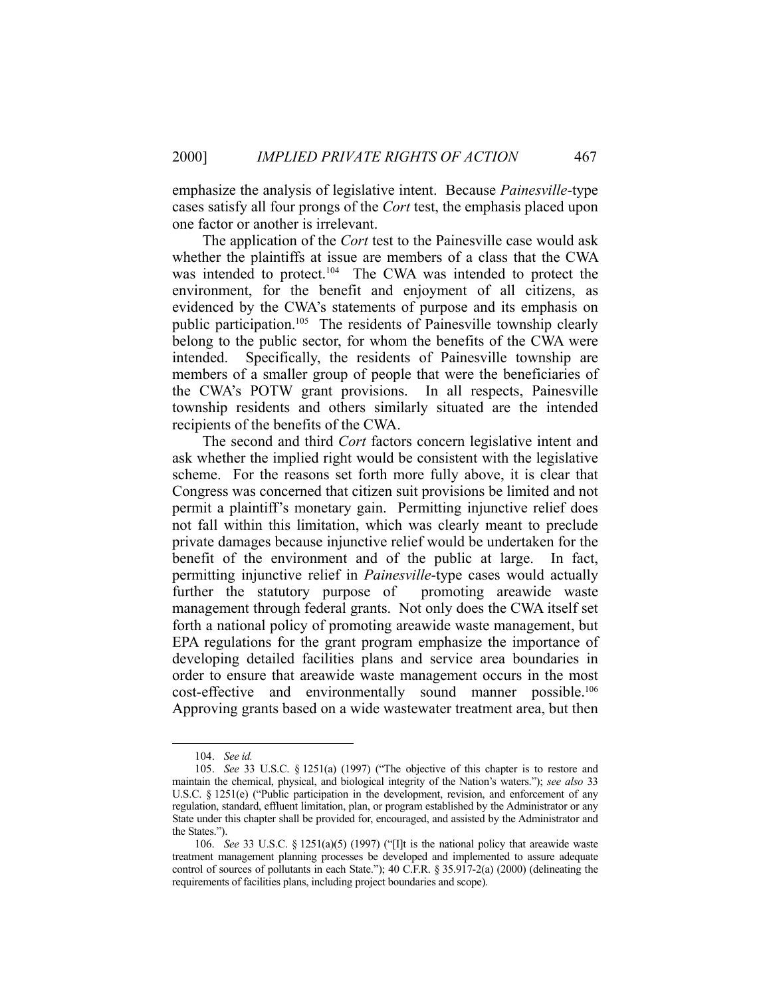emphasize the analysis of legislative intent. Because *Painesville*-type cases satisfy all four prongs of the *Cort* test, the emphasis placed upon one factor or another is irrelevant.

 The application of the *Cort* test to the Painesville case would ask whether the plaintiffs at issue are members of a class that the CWA was intended to protect.<sup>104</sup> The CWA was intended to protect the environment, for the benefit and enjoyment of all citizens, as evidenced by the CWA's statements of purpose and its emphasis on public participation.<sup>105</sup> The residents of Painesville township clearly belong to the public sector, for whom the benefits of the CWA were intended. Specifically, the residents of Painesville township are members of a smaller group of people that were the beneficiaries of the CWA's POTW grant provisions. In all respects, Painesville township residents and others similarly situated are the intended recipients of the benefits of the CWA.

 The second and third *Cort* factors concern legislative intent and ask whether the implied right would be consistent with the legislative scheme. For the reasons set forth more fully above, it is clear that Congress was concerned that citizen suit provisions be limited and not permit a plaintiff's monetary gain. Permitting injunctive relief does not fall within this limitation, which was clearly meant to preclude private damages because injunctive relief would be undertaken for the benefit of the environment and of the public at large. In fact, permitting injunctive relief in *Painesville*-type cases would actually further the statutory purpose of promoting areawide waste further the statutory purpose of management through federal grants. Not only does the CWA itself set forth a national policy of promoting areawide waste management, but EPA regulations for the grant program emphasize the importance of developing detailed facilities plans and service area boundaries in order to ensure that areawide waste management occurs in the most cost-effective and environmentally sound manner possible.106 Approving grants based on a wide wastewater treatment area, but then

 <sup>104.</sup> *See id.*

 <sup>105.</sup> *See* 33 U.S.C. § 1251(a) (1997) ("The objective of this chapter is to restore and maintain the chemical, physical, and biological integrity of the Nation's waters."); *see also* 33 U.S.C. § 1251(e) ("Public participation in the development, revision, and enforcement of any regulation, standard, effluent limitation, plan, or program established by the Administrator or any State under this chapter shall be provided for, encouraged, and assisted by the Administrator and the States.").

 <sup>106.</sup> *See* 33 U.S.C. § 1251(a)(5) (1997) ("[I]t is the national policy that areawide waste treatment management planning processes be developed and implemented to assure adequate control of sources of pollutants in each State."); 40 C.F.R. § 35.917-2(a) (2000) (delineating the requirements of facilities plans, including project boundaries and scope).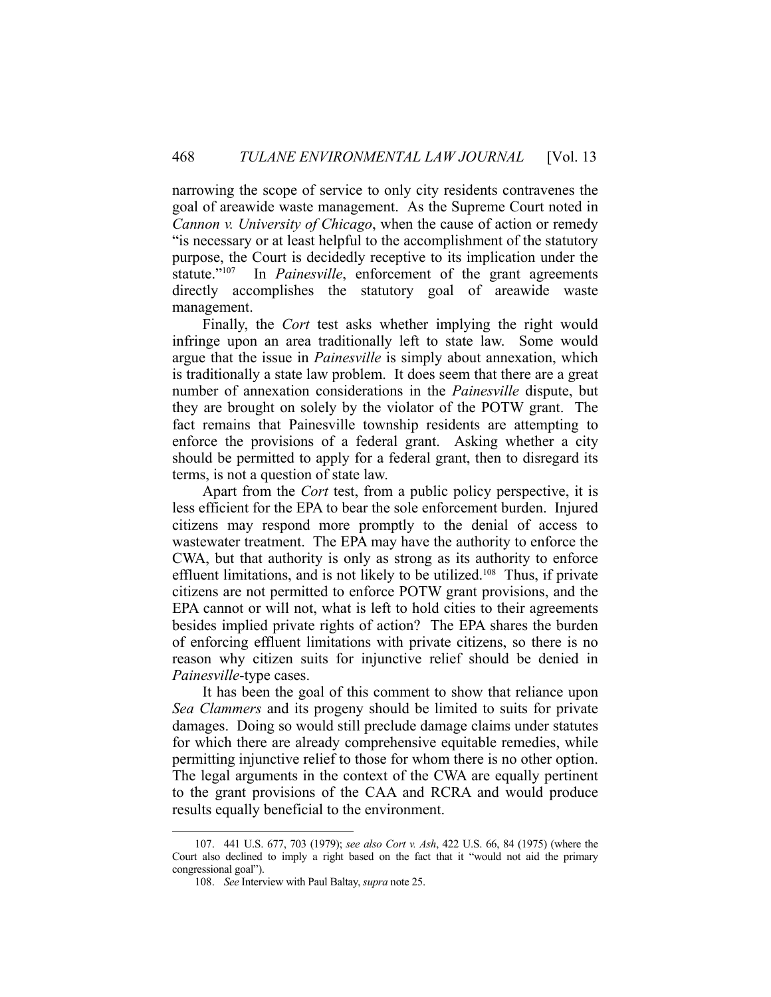narrowing the scope of service to only city residents contravenes the goal of areawide waste management. As the Supreme Court noted in *Cannon v. University of Chicago*, when the cause of action or remedy "is necessary or at least helpful to the accomplishment of the statutory purpose, the Court is decidedly receptive to its implication under the statute."107 In *Painesville*, enforcement of the grant agreements directly accomplishes the statutory goal of areawide waste management.

 Finally, the *Cort* test asks whether implying the right would infringe upon an area traditionally left to state law. Some would argue that the issue in *Painesville* is simply about annexation, which is traditionally a state law problem. It does seem that there are a great number of annexation considerations in the *Painesville* dispute, but they are brought on solely by the violator of the POTW grant. The fact remains that Painesville township residents are attempting to enforce the provisions of a federal grant. Asking whether a city should be permitted to apply for a federal grant, then to disregard its terms, is not a question of state law.

 Apart from the *Cort* test, from a public policy perspective, it is less efficient for the EPA to bear the sole enforcement burden. Injured citizens may respond more promptly to the denial of access to wastewater treatment. The EPA may have the authority to enforce the CWA, but that authority is only as strong as its authority to enforce effluent limitations, and is not likely to be utilized.<sup>108</sup> Thus, if private citizens are not permitted to enforce POTW grant provisions, and the EPA cannot or will not, what is left to hold cities to their agreements besides implied private rights of action? The EPA shares the burden of enforcing effluent limitations with private citizens, so there is no reason why citizen suits for injunctive relief should be denied in *Painesville*-type cases.

 It has been the goal of this comment to show that reliance upon *Sea Clammers* and its progeny should be limited to suits for private damages. Doing so would still preclude damage claims under statutes for which there are already comprehensive equitable remedies, while permitting injunctive relief to those for whom there is no other option. The legal arguments in the context of the CWA are equally pertinent to the grant provisions of the CAA and RCRA and would produce results equally beneficial to the environment.

 <sup>107. 441</sup> U.S. 677, 703 (1979); *see also Cort v. Ash*, 422 U.S. 66, 84 (1975) (where the Court also declined to imply a right based on the fact that it "would not aid the primary congressional goal").

 <sup>108.</sup> *See* Interview with Paul Baltay, *supra* note 25.